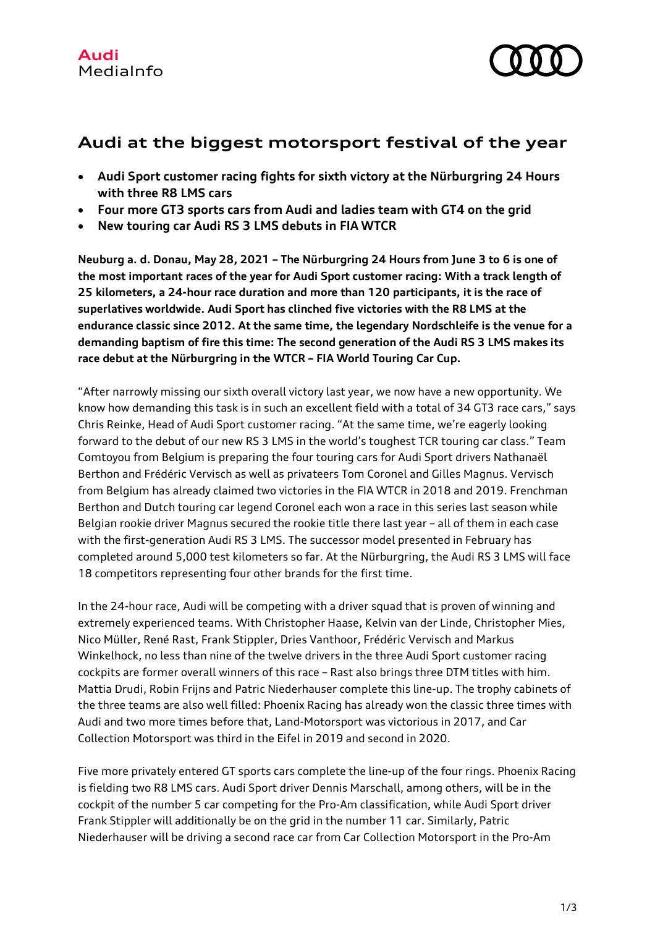

## **Audi at the biggest motorsport festival of the year**

- **Audi Sport customer racing fights for sixth victory at the Nürburgring 24 Hours with three R8 LMS cars**
- **Four more GT3 sports cars from Audi and ladies team with GT4 on the grid**
- **New touring car Audi RS 3 LMS debuts in FIA WTCR**

**Neuburg a. d. Donau, May 28, 2021 – The Nürburgring 24 Hours from June 3 to 6 is one of the most important races of the year for Audi Sport customer racing: With a track length of 25 kilometers, a 24-hour race duration and more than 120 participants, it is the race of superlatives worldwide. Audi Sport has clinched five victories with the R8 LMS at the endurance classic since 2012. At the same time, the legendary Nordschleife is the venue for a demanding baptism of fire this time: The second generation of the Audi RS 3 LMS makes its race debut at the Nürburgring in the WTCR – FIA World Touring Car Cup.**

"After narrowly missing our sixth overall victory last year, we now have a new opportunity. We know how demanding this task is in such an excellent field with a total of 34 GT3 race cars," says Chris Reinke, Head of Audi Sport customer racing. "At the same time, we're eagerly looking forward to the debut of our new RS 3 LMS in the world's toughest TCR touring car class." Team Comtoyou from Belgium is preparing the four touring cars for Audi Sport drivers Nathanaël Berthon and Frédéric Vervisch as well as privateers Tom Coronel and Gilles Magnus. Vervisch from Belgium has already claimed two victories in the FIA WTCR in 2018 and 2019. Frenchman Berthon and Dutch touring car legend Coronel each won a race in this series last season while Belgian rookie driver Magnus secured the rookie title there last year – all of them in each case with the first-generation Audi RS 3 LMS. The successor model presented in February has completed around 5,000 test kilometers so far. At the Nürburgring, the Audi RS 3 LMS will face 18 competitors representing four other brands for the first time.

In the 24-hour race, Audi will be competing with a driver squad that is proven of winning and extremely experienced teams. With Christopher Haase, Kelvin van der Linde, Christopher Mies, Nico Müller, René Rast, Frank Stippler, Dries Vanthoor, Frédéric Vervisch and Markus Winkelhock, no less than nine of the twelve drivers in the three Audi Sport customer racing cockpits are former overall winners of this race – Rast also brings three DTM titles with him. Mattia Drudi, Robin Frijns and Patric Niederhauser complete this line-up. The trophy cabinets of the three teams are also well filled: Phoenix Racing has already won the classic three times with Audi and two more times before that, Land-Motorsport was victorious in 2017, and Car Collection Motorsport was third in the Eifel in 2019 and second in 2020.

Five more privately entered GT sports cars complete the line-up of the four rings. Phoenix Racing is fielding two R8 LMS cars. Audi Sport driver Dennis Marschall, among others, will be in the cockpit of the number 5 car competing for the Pro-Am classification, while Audi Sport driver Frank Stippler will additionally be on the grid in the number 11 car. Similarly, Patric Niederhauser will be driving a second race car from Car Collection Motorsport in the Pro-Am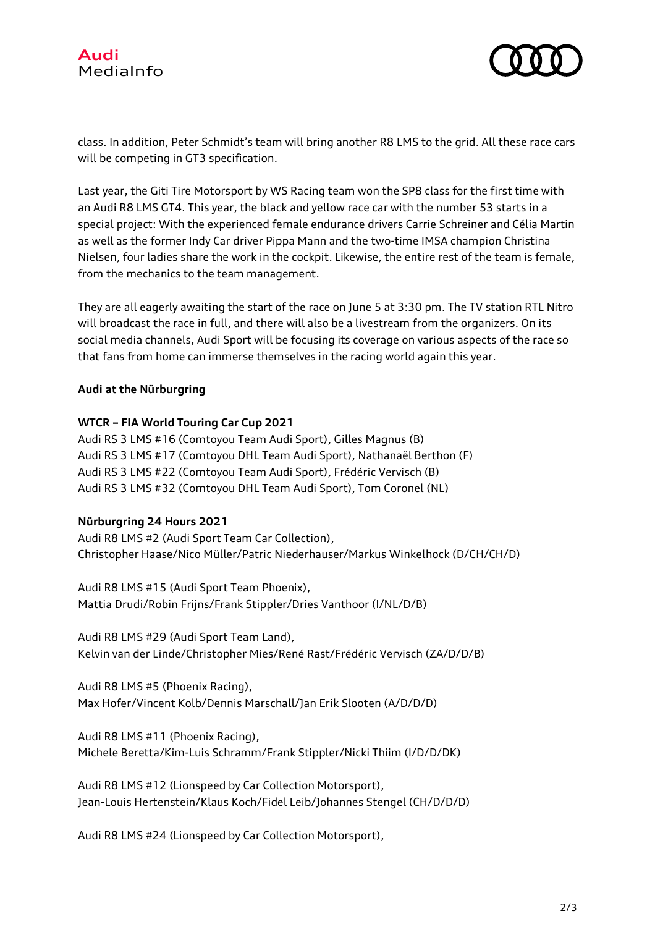



class. In addition, Peter Schmidt's team will bring another R8 LMS to the grid. All these race cars will be competing in GT3 specification.

Last year, the Giti Tire Motorsport by WS Racing team won the SP8 class for the first time with an Audi R8 LMS GT4. This year, the black and yellow race car with the number 53 starts in a special project: With the experienced female endurance drivers Carrie Schreiner and Célia Martin as well as the former Indy Car driver Pippa Mann and the two-time IMSA champion Christina Nielsen, four ladies share the work in the cockpit. Likewise, the entire rest of the team is female, from the mechanics to the team management.

They are all eagerly awaiting the start of the race on June 5 at 3:30 pm. The TV station RTL Nitro will broadcast the race in full, and there will also be a livestream from the organizers. On its social media channels, Audi Sport will be focusing its coverage on various aspects of the race so that fans from home can immerse themselves in the racing world again this year.

## **Audi at the Nürburgring**

## **WTCR – FIA World Touring Car Cup 2021**

Audi RS 3 LMS #16 (Comtoyou Team Audi Sport), Gilles Magnus (B) Audi RS 3 LMS #17 (Comtoyou DHL Team Audi Sport), Nathanaël Berthon (F) Audi RS 3 LMS #22 (Comtoyou Team Audi Sport), Frédéric Vervisch (B) Audi RS 3 LMS #32 (Comtoyou DHL Team Audi Sport), Tom Coronel (NL)

## **Nürburgring 24 Hours 2021**

Audi R8 LMS #2 (Audi Sport Team Car Collection), Christopher Haase/Nico Müller/Patric Niederhauser/Markus Winkelhock (D/CH/CH/D)

Audi R8 LMS #15 (Audi Sport Team Phoenix), Mattia Drudi/Robin Frijns/Frank Stippler/Dries Vanthoor (I/NL/D/B)

Audi R8 LMS #29 (Audi Sport Team Land), Kelvin van der Linde/Christopher Mies/René Rast/Frédéric Vervisch (ZA/D/D/B)

Audi R8 LMS #5 (Phoenix Racing), Max Hofer/Vincent Kolb/Dennis Marschall/Jan Erik Slooten (A/D/D/D)

Audi R8 LMS #11 (Phoenix Racing), Michele Beretta/Kim-Luis Schramm/Frank Stippler/Nicki Thiim (I/D/D/DK)

Audi R8 LMS #12 (Lionspeed by Car Collection Motorsport), Jean-Louis Hertenstein/Klaus Koch/Fidel Leib/Johannes Stengel (CH/D/D/D)

Audi R8 LMS #24 (Lionspeed by Car Collection Motorsport),